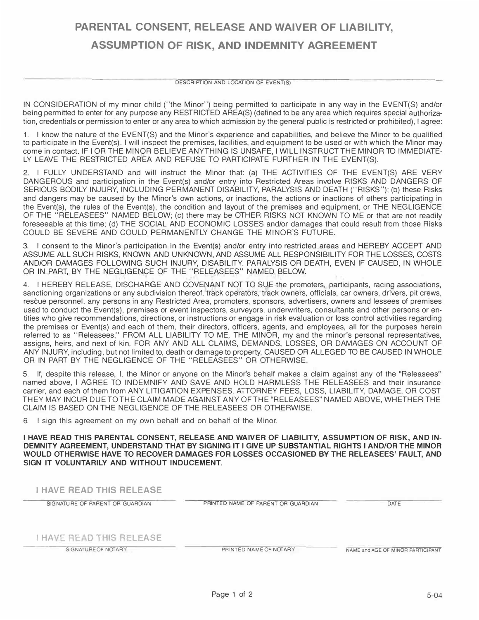## **PARENTAL CONSENT, RELEASE AND WAIVER OF LIABILITY, ASSUMPTION OF RISK, AND INDEMNITY AGREEMENT**

## DESCRIPTION AND LOCATION OF EVENT(\$)

IN CONSIDERATION of my minor child ("the Minor") being permitted to participate in any way in the EVENT(S) and/or being permitted to enter for any purpose any RESTRICTED AREA(S) {defined to be any area which requires special authorization, credentials or permission to enter or any area to which admission by the general public is restricted or prohibited), I agree:

1. I know the nature of the EVENT{S) and the Minor's experience and capabilities, and believe the Minor to be qualified to participate in the Event{s). I will inspect the premises, facilities, and equipment to be used or with which the Minor may come in contact. IF I OR THE MINOR BELIEVE ANY THING IS UNSAFE, I WILL INSTRUCT THE MINOR TO IMMEDIATE-LY LEAVE THE RESTRICTED AREA AND REFUSE TO PARTICIPATE FURTHER IN THE EVENT{S).

**2.** I FULLY UNDERSTAND and will instruct the Minor that: {a) THE ACTIVITIES OF THE EVENT(S) ARE VERY DANGEROUS and participation in the Event(s) and/or entry into Restricted Areas involve RISKS AND DANGERS OF SERIOUS BODILY INJURY, INCLUDING PERMANENT DISABILITY, PARALYSIS AND DEATH ("RISKS"); (b) these Risks and dangers may be caused by the Minor's own actions, or inactions, the actions or inactions of others participating in the Event(s), the rules of the Event{s), the condition and layout of the premises and equipment, or THE NEGLIGENCE OF THE "RELEASEES" NAMED BELOW; {c) there may be OTHER RISKS NOT KNOWN TO ME or that are not readily foreseeable at this time; {d) THE SOCIAL AND ECONOMIC LOSSES and/or damages that could result from those Risks COULD BE SEVERE AND COULD PERMANENTLY CHANGE THE MINOR'S FUTURE.

3. I consent to the Minor's participation in the Event(s) and/or entry into restricted areas and HEREBY ACCEPT AND ASSUME ALL SUCH RISKS, KNOWN AND UNKNOWN, AND ASSUME ALL RESPONSIBILITY FOR THE LOSSES, COSTS AND/OR DAMAGES FOLLOWING SUCH INJURY, DISABILITY, PARALYSIS OR DEATH, EVEN IF CAUSED, IN WHOLE OR IN PART, BY THE NEGLIGENCE OF THE "RELEASEES" NAMED BELOW.

4. I HEREBY RELEASE, DISCHARGE AND COVENANT NOT TO SUE the promoters, participants, racing associations, sanctioning organizations or any subdivision thereof, track operators, track owners, officials, car owners, drivers, pit crews, rescue personnel, any persons in any Restricted Area, promoters, sponsors, advertisers, owners and lessees of premises used to conduct the Event(s), premises or event inspectors, surveyors, underwriters, consuftants and other persons or entities who give recommendations, directions, or instructions or engage in risk evaluation or loss control activities regarding the premises or Event(s) and each of them, their directors, officers, agents, and employees, all for the purposes herein referred to as "Releasees," FROM ALL LIABILITY TO ME, THE MINOR, my and the minor's personal representatives, assigns, heirs, and next of kin, FOR ANY AND ALL CLAIMS, DEMANDS, LOSSES, OR DAMAGES ON ACCOUNT OF ANY INJURY, including, but not limited to, death or damage to property, CAUSED OR ALLEGED TO BE CAUSED IN WHOLE OR IN PART BY THE NEGLIGENCE OF THE "RELEASEES" OR OTHERWISE.

5. If, despite this release, I, the Minor or anyone on the Minor's behalf makes a claim against any of the "Releasees" named above, I AGREE TO INDEMNIFY AND SAVE AND HOLD HARMLESS THE RELEASEES and their insurance carrier, and each of them from ANY LITIGATION EXPENSES, ATTORNEY FEES, LOSS, LIABILITY, DAMAGE, OR COST THEY MAY INCUR DUE TO THE CLAIM MADE AGAINST ANY OF THE "RELEASEES" NAMED ABOVE, WHETHER THE CLAIM IS BASED ON THE NEGLIGENCE OF THE RELEASEES OR OTHERWISE.

6. I sign this agreement on my own behalf and on behalf of the Minor.

**I HAVE READ THIS PARENTAL CONSENT, RELEASE AND WAIVER OF LIABILITY, ASSUMPTION OF RISK, AND IN-DEMNITY AGREEMENT, UNDERSTAND THAT BY SIGNING IT I GIVE UP SUBSTANTIAL RIGHTS I AND/OR THE MINOR WOULD OTHERWISE HAVE TO RECOVER DAMAGES FOR LOSSES OCCASIONED BY THE RELEASEES' FAULT, AND SIGN IT VOLUNTARILY AND WITHOUT INDUCEMENT.** 

| <b>I HAVE READ THIS RELEASE</b> |                                    |                                   |
|---------------------------------|------------------------------------|-----------------------------------|
| SIGNATURE OF PARENT OR GUARDIAN | PRINTED NAME OF PARENT OR GUARDIAN | DATE                              |
| I HAVE READ THIS RELEASE        |                                    |                                   |
| SIGNATURE OF NOTARY             | PRINTED NAME OF NOTARY             | NAME and AGE OF MINOR PARTICIPANT |